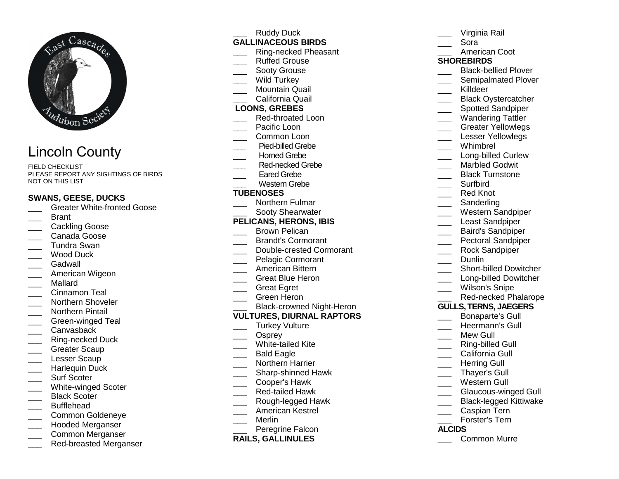

# Lincoln County

FIELD CHECKLIST PLEASE REPORT ANY SIGHTINGS OF BIRDS NOT ON THIS LIST

#### **SWANS, GEESE, DUCKS**

- **LETT** Greater White-fronted Goose
- \_\_\_ Brant
- \_\_\_ Cackling Goose
- \_\_\_ Canada Goose
- \_\_\_ Tundra Swan
- \_\_\_ Wood Duck
- Gadwall
- \_\_\_ American Wigeon
- \_\_\_ Mallard
- \_\_\_ Cinnamon Teal
- \_\_\_\_ Northern Shoveler
- \_\_\_ Northern Pintail
- \_\_\_ Green-winged Teal
- \_\_\_ Canvasback
- \_\_\_ Ring-necked Duck
- Greater Scaup
- Lesser Scaup
- \_\_\_ Harlequin Duck
- Surf Scoter
- \_\_\_ White-winged Scoter
- Black Scoter
- \_\_\_ Bufflehead
- \_\_\_ Common Goldeneye
- \_\_\_ Hooded Merganser
- \_\_\_ Common Merganser
- \_\_\_ Red-breasted Merganser

Ruddy Duck **GALLINACEOUS BIRDS** \_\_\_ Ring-necked Pheasant \_\_\_ Ruffed Grouse Sooty Grouse Wild Turkey \_\_\_ Mountain Quail \_\_\_ California Quail **LOONS, GREBES**  \_\_\_ Red-throated Loon Pacific Loon \_\_\_ Common Loon \_\_\_ Pied-billed Grebe Horned Grebe \_\_\_\_ Red-necked Grebe Eared Grebe \_\_\_ Western Grebe **TUBENOSES** \_\_\_ Northern Fulmar \_\_\_ Sooty Shearwater **PELICANS, HERONS, IBIS**Brown Pelican \_\_\_ Brandt's Cormorant \_\_\_ Double-crested Cormorant Pelagic Cormorant \_\_\_ American Bittern \_\_\_ Great Blue Heron \_\_\_ Great Egret \_\_\_ Green Heron \_\_\_ Black-crowned Night-Heron

# **VULTURES, DIURNAL RAPTORS**

- Turkey Vulture
- \_\_\_ Osprey
- \_\_\_ White-tailed Kite
- Bald Eagle
- \_\_\_ Northern Harrier
- \_\_\_\_ Sharp-shinned Hawk
- \_\_\_ Cooper's Hawk
- \_\_\_ Red-tailed Hawk
- \_\_\_ Rough-legged Hawk
- \_\_\_ American Kestrel
- \_\_\_ Merlin
- \_\_\_ Peregrine Falcon

## **RAILS, GALLINULES**

- Virginia Rail \_\_\_ Sora \_\_\_ American Coot **SHOREBIRDS** \_\_\_\_ Black-bellied Plover \_\_\_\_ Semipalmated Plover Killdeer \_\_\_\_ Black Oystercatcher Spotted Sandpiper \_\_\_ Wandering Tattler \_\_\_\_ Greater Yellowlegs Lesser Yellowlegs \_\_\_ Whimbrel \_\_\_\_ Long-billed Curlew Marbled Godwit \_\_\_ Black Turnstone \_\_\_ Surfbird \_\_\_ Red Knot \_\_\_ Sanderling \_\_\_ Western Sandpiper Least Sandpiper \_\_\_ Baird's Sandpiper \_\_\_ Pectoral Sandpiper \_\_\_ Rock Sandpiper \_\_\_ Dunlin \_\_\_\_ Short-billed Dowitcher \_\_\_\_ Long-billed Dowitcher Wilson's Snipe \_\_\_ Red-necked Phalarope **GULLS, TERNS, JAEGERS**\_\_\_ Bonaparte's Gull \_\_\_ Heermann's Gull Mew Gull \_\_\_ Ring-billed Gull California Gull Herring Gull \_\_\_ Thayer's Gull \_\_\_ Western Gull \_\_\_ Glaucous-winged Gull \_\_\_ Black-legged Kittiwake \_\_\_ Caspian Tern \_\_\_ Forster's Tern **ALCIDS**
	- \_\_\_ Common Murre